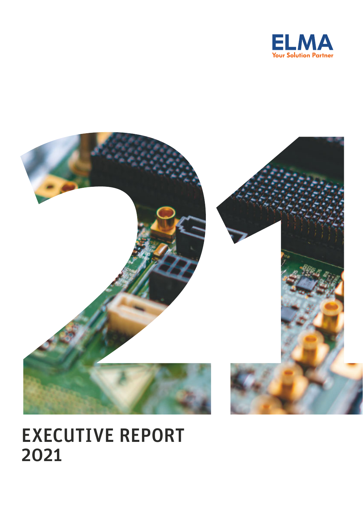



# EXECUTIVE REPORT 2021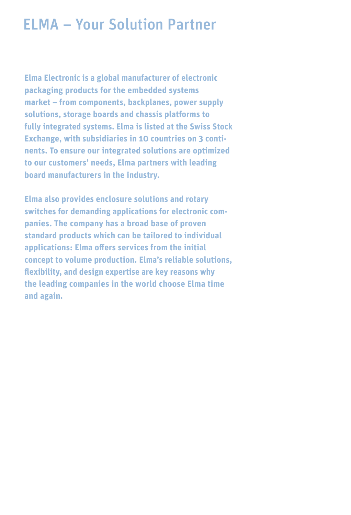# ELMA – Your Solution Partner

**Elma Electronic is a global manufacturer of electronic packaging products for the embedded systems market – from components, backplanes, power supply solutions, storage boards and chassis platforms to fully integrated systems. Elma is listed at the Swiss Stock Exchange, with subsidiaries in 10 countries on 3 continents. To ensure our integrated solutions are optimized to our customers' needs, Elma partners with leading board manufacturers in the industry.**

**Elma also provides enclosure solutions and rotary switches for demanding applications for electronic companies. The company has a broad base of proven standard products which can be tailored to individual applications: Elma offers services from the initial concept to volume production. Elma's reliable solutions, flexibility, and design expertise are key reasons why the leading companies in the world choose Elma time and again.**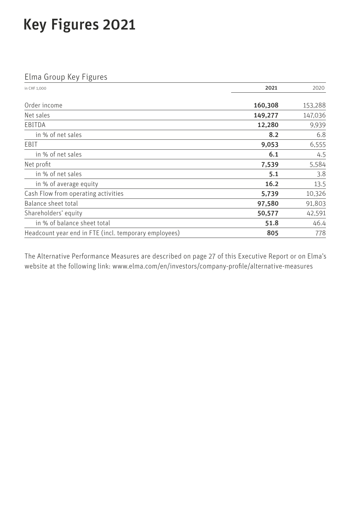# Key Figures 2021

# Elma Group Key Figures

| in CHF 1.000                                          | 2021    | 2020    |  |
|-------------------------------------------------------|---------|---------|--|
| Order income                                          | 160,308 | 153,288 |  |
| Net sales                                             | 149,277 | 147,036 |  |
| EBITDA                                                | 12,280  | 9,939   |  |
| in % of net sales                                     | 8.2     | 6.8     |  |
| EBIT                                                  | 9,053   | 6,555   |  |
| in % of net sales                                     | 6.1     | 4.5     |  |
| Net profit                                            | 7,539   | 5,584   |  |
| in % of net sales                                     | 5.1     | 3.8     |  |
| in % of average equity                                | 16.2    | 13.5    |  |
| Cash Flow from operating activities                   | 5,739   | 10,326  |  |
| Balance sheet total                                   | 97,580  | 91,803  |  |
| Shareholders' equity                                  | 50,577  | 42,591  |  |
| in % of balance sheet total                           | 51.8    | 46.4    |  |
| Headcount year end in FTE (incl. temporary employees) | 805     | 778     |  |

The Alternative Performance Measures are described on page 27 of this Executive Report or on Elma's website at the following link: [www.elma.com/en/investors/company-profile/alternative-measures](http://www.elma.com/en/investors/company-profile/alternative-measures)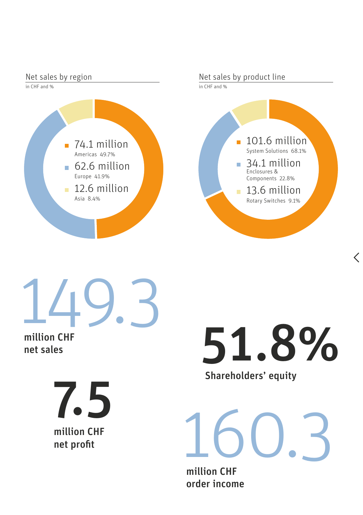

149.3

million CHF net sales

> million CHF<br>
> met profit<br>
> met profit<br>
> million CU net profit 7.5

Shareholders' equity 51.8%

million CHF order income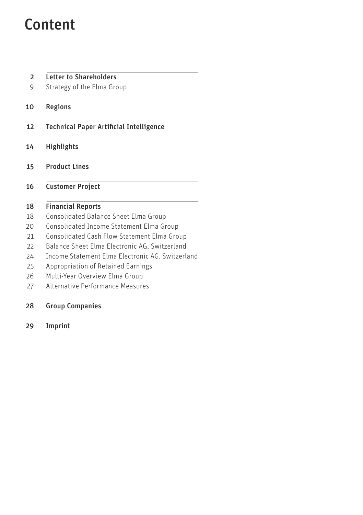# Content

| <b>Letter to Shareholders</b>                    |  |
|--------------------------------------------------|--|
| Strategy of the Elma Group                       |  |
| Regions                                          |  |
| <b>Technical Paper Artificial Intelligence</b>   |  |
| <b>Highlights</b>                                |  |
| <b>Product Lines</b>                             |  |
| <b>Customer Project</b>                          |  |
| <b>Financial Reports</b>                         |  |
| Consolidated Balance Sheet Elma Group            |  |
| Consolidated Income Statement Elma Group         |  |
| Consolidated Cash Flow Statement Elma Group      |  |
| Balance Sheet Elma Electronic AG, Switzerland    |  |
| Income Statement Elma Electronic AG, Switzerland |  |
| Appropriation of Retained Earnings               |  |
| Multi-Year Overview Elma Group                   |  |
| Alternative Performance Measures                 |  |
| <b>Group Companies</b>                           |  |
| Imprint                                          |  |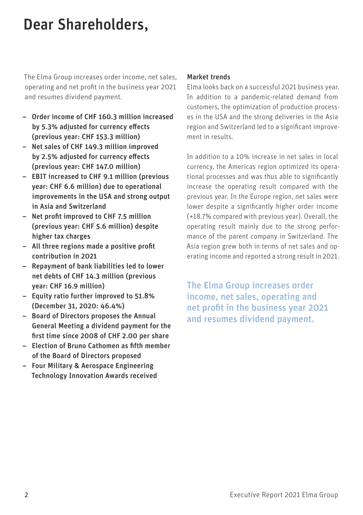# <span id="page-5-0"></span>Dear Shareholders,

The Elma Group increases order income, net sales, operating and net profit in the business year 2021 and resumes dividend payment.

- Order income of CHF 160.3 million increased by 5.3% adjusted for currency effects (previous year: CHF 153.3 million)
- Net sales of CHF 149.3 million improved by 2.5% adjusted for currency effects (previous year: CHF 147.0 million)
- EBIT increased to CHF 9.1 million (previous year: CHF 6.6 million) due to operational improvements in the USA and strong output in Asia and Switzerland
- Net profit improved to CHF 7.5 million (previous year: CHF 5.6 million) despite higher tax charges
- All three regions made a positive profit contribution in 2021
- Repayment of bank liabilities led to lower net debts of CHF 14.3 million (previous year: CHF 16.9 million)
- Equity ratio further improved to 51.8% (December 31, 2020: 46.4%)
- Board of Directors proposes the Annual General Meeting a dividend payment for the first time since 2008 of CHF 2.00 per share
- Election of Bruno Cathomen as fifth member of the Board of Directors proposed
- Four Military & Aerospace Engineering Technology Innovation Awards received

## Market trends

Elma looks back on a successful 2021 business year. In addition to a pandemic-related demand from customers, the optimization of production processes in the USA and the strong deliveries in the Asia region and Switzerland led to a significant improvement in results.

In addition to a 10% increase in net sales in local currency, the Americas region optimized its operational processes and was thus able to significantly increase the operating result compared with the previous year. In the Europe region, net sales were lower despite a significantly higher order income (+18.7% compared with previous year). Overall, the operating result mainly due to the strong performance of the parent company in Switzerland. The Asia region grew both in terms of net sales and operating income and reported a strong result in 2021.

The Elma Group increases order income, net sales, operating and net profit in the business year 2021 and resumes dividend payment.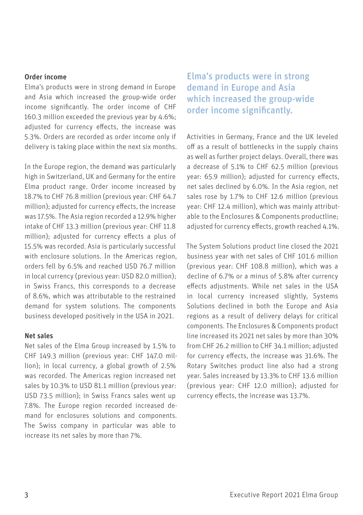### Order income

Elma's products were in strong demand in Europe and Asia which increased the group-wide order income significantly. The order income of CHF 160.3 million exceeded the previous year by 4.6%; adjusted for currency effects, the increase was 5.3%. Orders are recorded as order income only if delivery is taking place within the next six months.

In the Europe region, the demand was particularly high in Switzerland, UK and Germany for the entire Elma product range. Order income increased by 18.7% to CHF 76.8 million (previous year: CHF 64.7 million); adjusted for currency effects, the increase was 17.5%. The Asia region recorded a 12.9% higher intake of CHF 13.3 million (previous year: CHF 11.8 million); adjusted for currency effects a plus of 15.5% was recorded. Asia is particularly successful with enclosure solutions. In the Americas region, orders fell by 6.5% and reached USD 76.7 million in local currency (previous year: USD 82.0 million); in Swiss Francs, this corresponds to a decrease of 8.6%, which was attributable to the restrained demand for system solutions. The components business developed positively in the USA in 2021.

### Net sales

Net sales of the Elma Group increased by 1.5% to CHF 149.3 million (previous year: CHF 147.0 million); in local currency, a global growth of 2.5% was recorded. The Americas region increased net sales by 10.3% to USD 81.1 million (previous year: USD 73.5 million); in Swiss Francs sales went up 7.8%. The Europe region recorded increased demand for enclosures solutions and components. The Swiss company in particular was able to increase its net sales by more than 7%.

Elma's products were in strong demand in Europe and Asia which increased the group-wide order income significantly.

Activities in Germany, France and the UK leveled off as a result of bottlenecks in the supply chains as well as further project delays. Overall, there was a decrease of 5.1% to CHF 62.5 million (previous year: 65.9 million); adjusted for currency effects, net sales declined by 6.0%. In the Asia region, net sales rose by 1.7% to CHF 12.6 million (previous year: CHF 12.4 million), which was mainly attributable to the Enclosures & Components productline; adjusted for currency effects, growth reached 4.1%.

The System Solutions product line closed the 2021 business year with net sales of CHF 101.6 million (previous year: CHF 108.8 million), which was a decline of 6.7% or a minus of 5.8% after currency effects adjustments. While net sales in the USA in local currency increased slightly, Systems Solutions declined in both the Europe and Asia regions as a result of delivery delays for critical components. The Enclosures & Components product line increased its 2021 net sales by more than 30% from CHF 26.2 million to CHF 34.1 million; adjusted for currency effects, the increase was 31.6%. The Rotary Switches product line also had a strong year. Sales increased by 13.3% to CHF 13.6 million (previous year: CHF 12.0 million); adjusted for currency effects, the increase was 13.7%.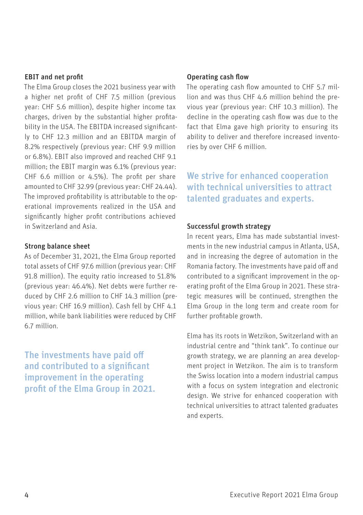#### EBIT and net profit

The Elma Group closes the 2021 business year with a higher net profit of CHF 7.5 million (previous year: CHF 5.6 million), despite higher income tax charges, driven by the substantial higher profitability in the USA. The EBITDA increased significantly to CHF 12.3 million and an EBITDA margin of 8.2% respectively (previous year: CHF 9.9 million or 6.8%). EBIT also improved and reached CHF 9.1 million; the EBIT margin was 6.1% (previous year: CHF 6.6 million or 4.5%). The profit per share amounted to CHF 32.99 (previous year: CHF 24.44). The improved profitability is attributable to the operational improvements realized in the USA and significantly higher profit contributions achieved in Switzerland and Asia.

### Strong balance sheet

As of December 31, 2021, the Elma Group reported total assets of CHF 97.6 million (previous year: CHF 91.8 million). The equity ratio increased to 51.8% (previous year: 46.4%). Net debts were further reduced by CHF 2.6 million to CHF 14.3 million (previous year: CHF 16.9 million). Cash fell by CHF 4.1 million, while bank liabilities were reduced by CHF 6.7 million.

The investments have paid off and contributed to a significant improvement in the operating profit of the Elma Group in 2021.

### Operating cash flow

The operating cash flow amounted to CHF 5.7 million and was thus CHF 4.6 million behind the previous year (previous year: CHF 10.3 million). The decline in the operating cash flow was due to the fact that Elma gave high priority to ensuring its ability to deliver and therefore increased inventories by over CHF 6 million.

We strive for enhanced cooperation with technical universities to attract talented graduates and experts.

#### Successful growth strategy

In recent years, Elma has made substantial investments in the new industrial campus in Atlanta, USA, and in increasing the degree of automation in the Romania factory. The investments have paid off and contributed to a significant improvement in the operating profit of the Elma Group in 2021. These strategic measures will be continued, strengthen the Elma Group in the long term and create room for further profitable growth.

Elma has its roots in Wetzikon, Switzerland with an industrial centre and "think tank". To continue our growth strategy, we are planning an area development project in Wetzikon. The aim is to transform the Swiss location into a modern industrial campus with a focus on system integration and electronic design. We strive for enhanced cooperation with technical universities to attract talented graduates and experts.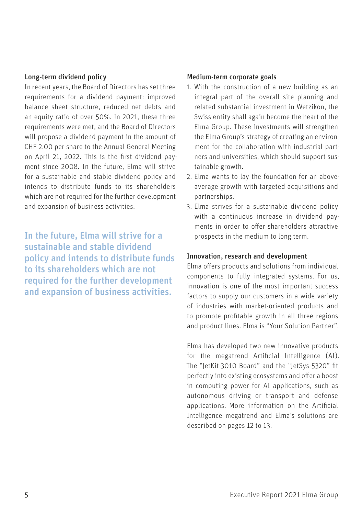#### Long-term dividend policy

In recent years, the Board of Directors has set three requirements for a dividend payment: improved balance sheet structure, reduced net debts and an equity ratio of over 50%. In 2021, these three requirements were met, and the Board of Directors will propose a dividend payment in the amount of CHF 2.00 per share to the Annual General Meeting on April 21, 2022. This is the first dividend payment since 2008. In the future, Elma will strive for a sustainable and stable dividend policy and intends to distribute funds to its shareholders which are not required for the further development and expansion of business activities.

In the future, Elma will strive for a sustainable and stable dividend policy and intends to distribute funds to its shareholders which are not required for the further development and expansion of business activities.

#### Medium-term corporate goals

- 1. With the construction of a new building as an integral part of the overall site planning and related substantial investment in Wetzikon, the Swiss entity shall again become the heart of the Elma Group. These investments will strengthen the Elma Group's strategy of creating an environment for the collaboration with industrial partners and universities, which should support sustainable growth.
- 2. Elma wants to lay the foundation for an aboveaverage growth with targeted acquisitions and partnerships.
- 3. Elma strives for a sustainable dividend policy with a continuous increase in dividend payments in order to offer shareholders attractive prospects in the medium to long term.

#### Innovation, research and development

Elma offers products and solutions from individual components to fully integrated systems. For us, innovation is one of the most important success factors to supply our customers in a wide variety of industries with market-oriented products and to promote profitable growth in all three regions and product lines. Elma is "Your Solution Partner".

Elma has developed two new innovative products for the megatrend Artificial Intelligence (AI). The "JetKit-3010 Board" and the "JetSys-5320" fit perfectly into existing ecosystems and offer a boost in computing power for AI applications, such as autonomous driving or transport and defense applications. More information on the Artificial Intelligence megatrend and Elma's solutions are described on pages 12 to 13.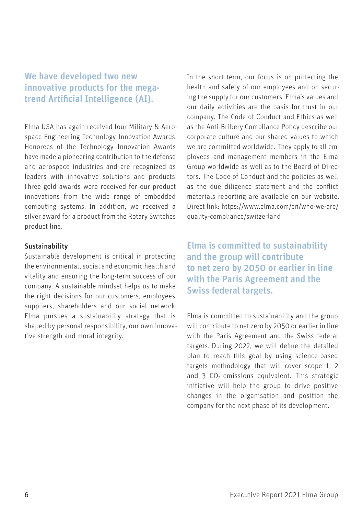# We have developed two new innovative products for the megatrend Artificial Intelligence (AI).

Elma USA has again received four Military & Aerospace Engineering Technology Innovation Awards. Honorees of the Technology Innovation Awards have made a pioneering contribution to the defense and aerospace industries and are recognized as leaders with innovative solutions and products. Three gold awards were received for our product innovations from the wide range of embedded computing systems. In addition, we received a silver award for a product from the Rotary Switches product line.

### Sustainability

Sustainable development is critical in protecting the environmental, social and economic health and vitality and ensuring the long-term success of our company. A sustainable mindset helps us to make the right decisions for our customers, employees, suppliers, shareholders and our social network. Elma pursues a sustainability strategy that is shaped by personal responsibility, our own innovative strength and moral integrity.

In the short term, our focus is on protecting the health and safety of our employees and on securing the supply for our customers. Elma's values and our daily activities are the basis for trust in our company. The Code of Conduct and Ethics as well as the Anti-Bribery Compliance Policy describe our corporate culture and our shared values to which we are committed worldwide. They apply to all employees and management members in the Elma Group worldwide as well as to the Board of Directors. The Code of Conduct and the policies as well as the due diligence statement and the conflict materials reporting are available on our website. Direct link: [https://www.elma.com/en/who-we-are/](https://www.elma.com/en/who-we-are/quality-compliance/switzerland) [quality-compliance/switzerland](https://www.elma.com/en/who-we-are/quality-compliance/switzerland)

Elma is committed to sustainability and the group will contribute to net zero by 2050 or earlier in line with the Paris Agreement and the Swiss federal targets.

Elma is committed to sustainability and the group will contribute to net zero by 2050 or earlier in line with the Paris Agreement and the Swiss federal targets. During 2022, we will define the detailed plan to reach this goal by using science-based targets methodology that will cover scope 1, 2 and  $3$  CO<sub>2</sub> emissions equivalent. This strategic initiative will help the group to drive positive changes in the organisation and position the company for the next phase of its development.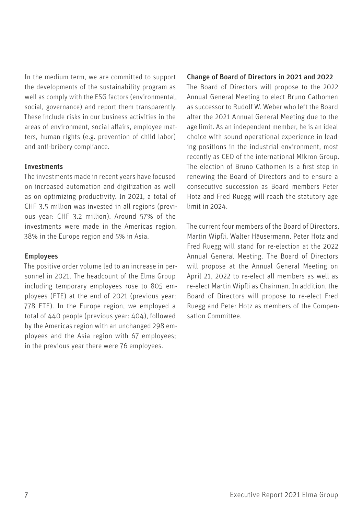In the medium term, we are committed to support the developments of the sustainability program as well as comply with the ESG factors (environmental, social, governance) and report them transparently. These include risks in our business activities in the areas of environment, social affairs, employee matters, human rights (e.g. prevention of child labor) and anti-bribery compliance.

#### Investments

The investments made in recent years have focused on increased automation and digitization as well as on optimizing productivity. In 2021, a total of CHF 3.5 million was invested in all regions (previous year: CHF 3.2 million). Around 57% of the investments were made in the Americas region, 38% in the Europe region and 5% in Asia.

#### Employees

The positive order volume led to an increase in personnel in 2021. The headcount of the Elma Group including temporary employees rose to 805 employees (FTE) at the end of 2021 (previous year: 778 FTE). In the Europe region, we employed a total of 440 people (previous year: 404), followed by the Americas region with an unchanged 298 employees and the Asia region with 67 employees; in the previous year there were 76 employees.

#### Change of Board of Directors in 2021 and 2022

The Board of Directors will propose to the 2022 Annual General Meeting to elect Bruno Cathomen as successor to Rudolf W. Weber who left the Board after the 2021 Annual General Meeting due to the age limit. As an independent member, he is an ideal choice with sound operational experience in leading positions in the industrial environment, most recently as CEO of the international Mikron Group. The election of Bruno Cathomen is a first step in renewing the Board of Directors and to ensure a consecutive succession as Board members Peter Hotz and Fred Ruegg will reach the statutory age limit in 2024.

The current four members of the Board of Directors, Martin Wipfli, Walter Häusermann, Peter Hotz and Fred Ruegg will stand for re-election at the 2022 Annual General Meeting. The Board of Directors will propose at the Annual General Meeting on April 21, 2022 to re-elect all members as well as re-elect Martin Wipfli as Chairman. In addition, the Board of Directors will propose to re-elect Fred Ruegg and Peter Hotz as members of the Compensation Committee.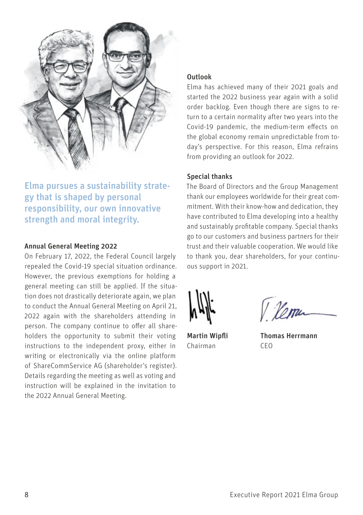

Elma pursues a sustainability strategy that is shaped by personal responsibility, our own innovative strength and moral integrity.

### Annual General Meeting 2022

On February 17, 2022, the Federal Council largely repealed the Covid-19 special situation ordinance. However, the previous exemptions for holding a general meeting can still be applied. If the situation does not drastically deteriorate again, we plan to conduct the Annual General Meeting on April 21, 2022 again with the shareholders attending in person. The company continue to offer all shareholders the opportunity to submit their voting instructions to the independent proxy, either in writing or electronically via the online platform of ShareCommService AG (shareholder's register). Details regarding the meeting as well as voting and instruction will be explained in the invitation to the 2022 Annual General Meeting.

## Outlook

Elma has achieved many of their 2021 goals and started the 2022 business year again with a solid order backlog. Even though there are signs to return to a certain normality after two years into the Covid-19 pandemic, the medium-term effects on the global economy remain unpredictable from today's perspective. For this reason, Elma refrains from providing an outlook for 2022.

### Special thanks

The Board of Directors and the Group Management thank our employees worldwide for their great commitment. With their know-how and dedication, they have contributed to Elma developing into a healthy and sustainably profitable company. Special thanks go to our customers and business partners for their trust and their valuable cooperation. We would like to thank you, dear shareholders, for your continuous support in 2021.



Chairman CEO

V Verra

Martin Wipfli Thomas Herrmann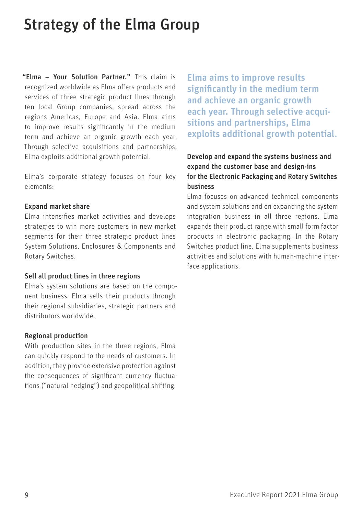# <span id="page-12-0"></span>Strategy of the Elma Group

"Elma – Your Solution Partner." This claim is recognized worldwide as Elma offers products and services of three strategic product lines through ten local Group companies, spread across the regions Americas, Europe and Asia. Elma aims to improve results significantly in the medium term and achieve an organic growth each year. Through selective acquisitions and partnerships, Elma exploits additional growth potential.

Elma's corporate strategy focuses on four key elements:

#### Expand market share

Elma intensifies market activities and develops strategies to win more customers in new market segments for their three strategic product lines System Solutions, Enclosures & Components and Rotary Switches.

### Sell all product lines in three regions

Elma's system solutions are based on the component business. Elma sells their products through their regional subsidiaries, strategic partners and distributors worldwide.

### Regional production

With production sites in the three regions, Elma can quickly respond to the needs of customers. In addition, they provide extensive protection against the consequences of significant currency fluctuations ("natural hedging") and geopolitical shifting.

Elma aims to improve results significantly in the medium term and achieve an organic growth each year. Through selective acquisitions and partnerships, Elma exploits additional growth potential.

# Develop and expand the systems business and expand the customer base and design-ins for the Electronic Packaging and Rotary Switches business

Elma focuses on advanced technical components and system solutions and on expanding the system integration business in all three regions. Elma expands their product range with small form factor products in electronic packaging. In the Rotary Switches product line, Elma supplements business activities and solutions with human-machine interface applications.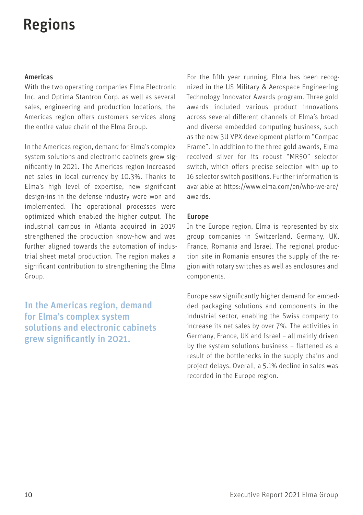# <span id="page-13-0"></span>Regions

### Americas

With the two operating companies Elma Electronic Inc. and Optima Stantron Corp. as well as several sales, engineering and production locations, the Americas region offers customers services along the entire value chain of the Elma Group.

In the Americas region, demand for Elma's complex system solutions and electronic cabinets grew significantly in 2021. The Americas region increased net sales in local currency by 10.3%. Thanks to Elma's high level of expertise, new significant design-ins in the defense industry were won and implemented. The operational processes were optimized which enabled the higher output. The industrial campus in Atlanta acquired in 2019 strengthened the production know-how and was further aligned towards the automation of industrial sheet metal production. The region makes a significant contribution to strengthening the Elma Group.

In the Americas region, demand for Elma's complex system solutions and electronic cabinets grew significantly in 2021.

For the fifth year running, Elma has been recognized in the US Military & Aerospace Engineering Technology Innovator Awards program. Three gold awards included various product innovations across several different channels of Elma's broad and diverse embedded computing business, such as the new 3U VPX development platform "Compac Frame". In addition to the three gold awards, Elma received silver for its robust "MR50" selector switch, which offers precise selection with up to 16 selector switch positions. Further information is available at [https://www.elma.com/en/who-we-are/](https://www.elma.com/en/who-we-are/awards) [awards](https://www.elma.com/en/who-we-are/awards).

### Europe

In the Europe region, Elma is represented by six group companies in Switzerland, Germany, UK, France, Romania and Israel. The regional production site in Romania ensures the supply of the region with rotary switches as well as enclosures and components.

Europe saw significantly higher demand for embedded packaging solutions and components in the industrial sector, enabling the Swiss company to increase its net sales by over 7%. The activities in Germany, France, UK and Israel – all mainly driven by the system solutions business – flattened as a result of the bottlenecks in the supply chains and project delays. Overall, a 5.1% decline in sales was recorded in the Europe region.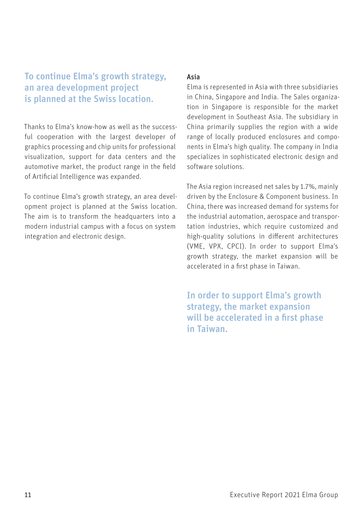# To continue Elma's growth strategy, an area development project is planned at the Swiss location.

Thanks to Elma's know-how as well as the successful cooperation with the largest developer of graphics processing and chip units for professional visualization, support for data centers and the automotive market, the product range in the field of Artificial Intelligence was expanded.

To continue Elma's growth strategy, an area development project is planned at the Swiss location. The aim is to transform the headquarters into a modern industrial campus with a focus on system integration and electronic design.

### Asia

Elma is represented in Asia with three subsidiaries in China, Singapore and India. The Sales organization in Singapore is responsible for the market development in Southeast Asia. The subsidiary in China primarily supplies the region with a wide range of locally produced enclosures and components in Elma's high quality. The company in India specializes in sophisticated electronic design and software solutions.

The Asia region increased net sales by 1.7%, mainly driven by the Enclosure & Component business. In China, there was increased demand for systems for the industrial automation, aerospace and transportation industries, which require customized and high-quality solutions in different architectures (VME, VPX, CPCI). In order to support Elma's growth strategy, the market expansion will be accelerated in a first phase in Taiwan.

In order to support Elma's growth strategy, the market expansion will be accelerated in a first phase in Taiwan.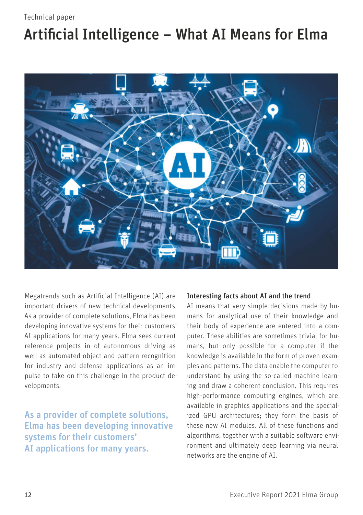# <span id="page-15-0"></span>Technical paper

# Artificial Intelligence – What AI Means for Elma



Megatrends such as Artificial Intelligence (AI) are important drivers of new technical developments. As a provider of complete solutions, Elma has been developing innovative systems for their customers' AI applications for many years. Elma sees current reference projects in of autonomous driving as well as automated object and pattern recognition for industry and defense applications as an impulse to take on this challenge in the product developments.

As a provider of complete solutions, Elma has been developing innovative systems for their customers' AI applications for many years.

#### Interesting facts about AI and the trend

AI means that very simple decisions made by humans for analytical use of their knowledge and their body of experience are entered into a computer. These abilities are sometimes trivial for humans, but only possible for a computer if the knowledge is available in the form of proven examples and patterns. The data enable the computer to understand by using the so-called machine learning and draw a coherent conclusion. This requires high-performance computing engines, which are available in graphics applications and the specialized GPU architectures; they form the basis of these new AI modules. All of these functions and algorithms, together with a suitable software environment and ultimately deep learning via neural networks are the engine of AI.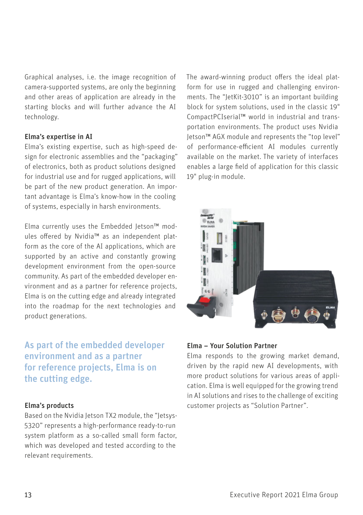Graphical analyses, i.e. the image recognition of camera-supported systems, are only the beginning and other areas of application are already in the starting blocks and will further advance the AI technology.

### Elma's expertise in AI

Elma's existing expertise, such as high-speed design for electronic assemblies and the "packaging" of electronics, both as product solutions designed for industrial use and for rugged applications, will be part of the new product generation. An important advantage is Elma's know-how in the cooling of systems, especially in harsh environments.

Elma currently uses the Embedded Jetson™ modules offered by Nvidia™ as an independent platform as the core of the AI applications, which are supported by an active and constantly growing development environment from the open-source community. As part of the embedded developer environment and as a partner for reference projects, Elma is on the cutting edge and already integrated into the roadmap for the next technologies and product generations.

As part of the embedded developer environment and as a partner for reference projects, Elma is on the cutting edge.

#### Elma's products

Based on the Nvidia Jetson TX2 module, the "Jetsys-5320" represents a high-performance ready-to-run system platform as a so-called small form factor, which was developed and tested according to the relevant requirements.

The award-winning product offers the ideal platform for use in rugged and challenging environments. The "JetKit-3010" is an important building block for system solutions, used in the classic 19" CompactPCIserial™ world in industrial and transportation environments. The product uses Nvidia Jetson™ AGX module and represents the "top level" of performance-efficient AI modules currently available on the market. The variety of interfaces enables a large field of application for this classic 19" plug-in module.



### Elma – Your Solution Partner

Elma responds to the growing market demand, driven by the rapid new AI developments, with more product solutions for various areas of application. Elma is well equipped for the growing trend in AI solutions and rises to the challenge of exciting customer projects as "Solution Partner".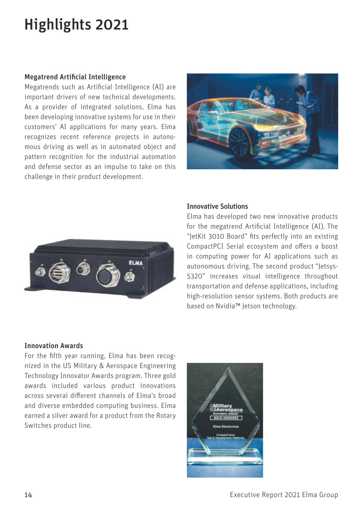# <span id="page-17-0"></span>Highlights 2021

#### Megatrend Artificial Intelligence

Megatrends such as Artificial Intelligence (AI) are important drivers of new technical developments. As a provider of integrated solutions, Elma has been developing innovative systems for use in their customers' AI applications for many years. Elma recognizes recent reference projects in autonomous driving as well as in automated object and pattern recognition for the industrial automation and defense sector as an impulse to take on this challenge in their product development.





### Innovative Solutions

Elma has developed two new innovative products for the megatrend Artificial Intelligence (AI). The "JetKit 3010 Board" fits perfectly into an existing CompactPCI Serial ecosystem and offers a boost in computing power for AI applications such as autonomous driving. The second product "Jetsys-5320" increases visual intelligence throughout transportation and defense applications, including high-resolution sensor systems. Both products are based on Nvidia™ Jetson technology.

#### Innovation Awards

For the fifth year running, Elma has been recognized in the US Military & Aerospace Engineering Technology Innovator Awards program. Three gold awards included various product innovations across several different channels of Elma's broad and diverse embedded computing business. Elma earned a silver award for a product from the Rotary Switches product line.

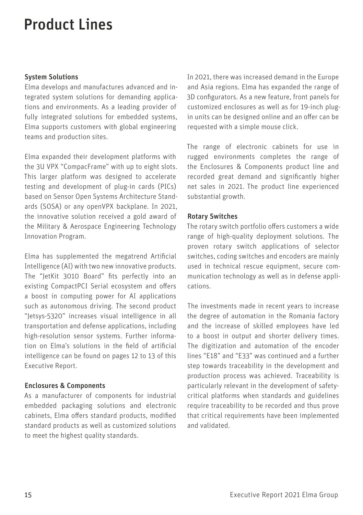# <span id="page-18-0"></span>Product Lines

### System Solutions

Elma develops and manufactures advanced and integrated system solutions for demanding applications and environments. As a leading provider of fully integrated solutions for embedded systems, Elma supports customers with global engineering teams and production sites.

Elma expanded their development platforms with the 3U VPX "CompacFrame" with up to eight slots. This larger platform was designed to accelerate testing and development of plug-in cards (PICs) based on Sensor Open Systems Architecture Standards (SOSA) or any openVPX backplane. In 2021, the innovative solution received a gold award of the Military & Aerospace Engineering Technology Innovation Program.

Elma has supplemented the megatrend Artificial Intelligence (AI) with two new innovative products. The "JetKit 3010 Board" fits perfectly into an existing CompactPCI Serial ecosystem and offers a boost in computing power for AI applications such as autonomous driving. The second product "Jetsys-5320" increases visual intelligence in all transportation and defense applications, including high-resolution sensor systems. Further information on Elma's solutions in the field of artificial intelligence can be found on pages 12 to 13 of this Executive Report.

## Enclosures & Components

As a manufacturer of components for industrial embedded packaging solutions and electronic cabinets, Elma offers standard products, modified standard products as well as customized solutions to meet the highest quality standards.

In 2021, there was increased demand in the Europe and Asia regions. Elma has expanded the range of 3D configurators. As a new feature, front panels for customized enclosures as well as for 19-inch plugin units can be designed online and an offer can be requested with a simple mouse click.

The range of electronic cabinets for use in rugged environments completes the range of the Enclosures & Components product line and recorded great demand and significantly higher net sales in 2021. The product line experienced substantial growth.

### Rotary Switches

The rotary switch portfolio offers customers a wide range of high-quality deployment solutions. The proven rotary switch applications of selector switches, coding switches and encoders are mainly used in technical rescue equipment, secure communication technology as well as in defense applications.

The investments made in recent years to increase the degree of automation in the Romania factory and the increase of skilled employees have led to a boost in output and shorter delivery times. The digitization and automation of the encoder lines "E18" and "E33" was continued and a further step towards traceability in the development and production process was achieved. Traceability is particularly relevant in the development of safetycritical platforms when standards and guidelines require traceability to be recorded and thus prove that critical requirements have been implemented and validated.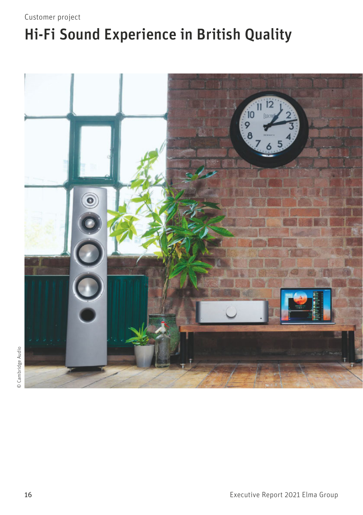# <span id="page-19-0"></span>Customer project

# Hi-Fi Sound Experience in British Quality



© Cambridge Audio © Cambridge Audio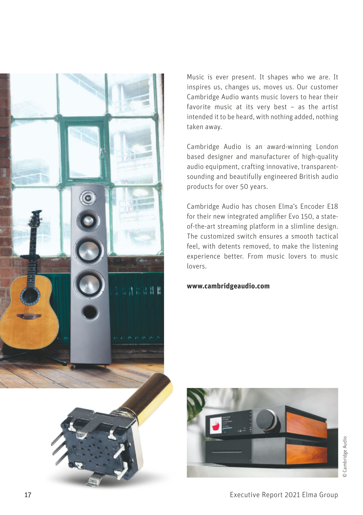

Music is ever present. It shapes who we are. It inspires us, changes us, moves us. Our customer Cambridge Audio wants music lovers to hear their favorite music at its very best – as the artist intended it to be heard, with nothing added, nothing taken away.

Cambridge Audio is an award-winning London based designer and manufacturer of high-quality audio equipment, crafting innovative, transparentsounding and beautifully engineered British audio products for over 50 years.

Cambridge Audio has chosen Elma's Encoder E18 for their new integrated amplifier Evo 150, a stateof-the-art streaming platform in a slimline design. The customized switch ensures a smooth tactical feel, with detents removed, to make the listening experience better. From music lovers to music lovers.

### **[www.cambridgeaudio.com](http://www.cambridgeaudio.com)**

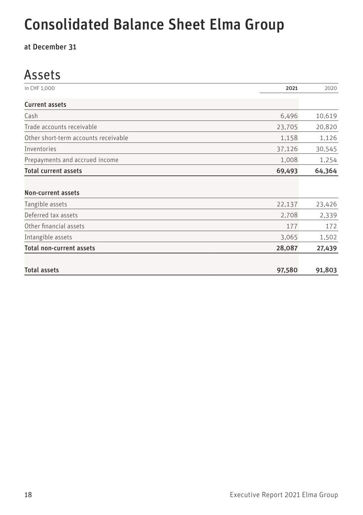# <span id="page-21-0"></span>Consolidated Balance Sheet Elma Group

at December 31

# Assets

| in CHF 1.000                         | 2021   | 2020   |
|--------------------------------------|--------|--------|
| <b>Current assets</b>                |        |        |
| Cash                                 | 6,496  | 10,619 |
| Trade accounts receivable            | 23,705 | 20,820 |
| Other short-term accounts receivable | 1,158  | 1,126  |
| Inventories                          | 37,126 | 30,545 |
| Prepayments and accrued income       | 1,008  | 1,254  |
| <b>Total current assets</b>          | 69,493 | 64,364 |
|                                      |        |        |
| Non-current assets                   |        |        |
| Tangible assets                      | 22,137 | 23,426 |
| Deferred tax assets                  | 2,708  | 2,339  |
| Other financial assets               | 177    | 172    |
| Intangible assets                    | 3,065  | 1,502  |
| <b>Total non-current assets</b>      | 28,087 | 27,439 |
| <b>Total assets</b>                  | 97,580 | 91,803 |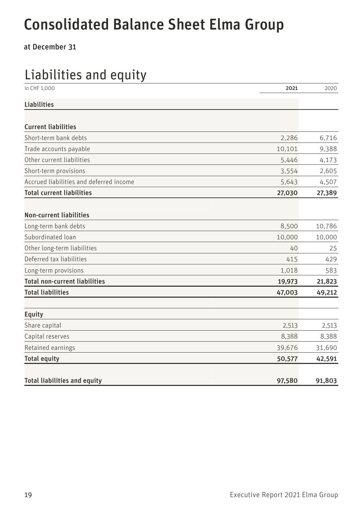# Consolidated Balance Sheet Elma Group

at December 31

# Liabilities and equity

| in CHF 1,000                            | 2021   | 2020   |
|-----------------------------------------|--------|--------|
| <b>Liabilities</b>                      |        |        |
|                                         |        |        |
| <b>Current liabilities</b>              |        |        |
| Short-term bank debts                   | 2,286  | 6,716  |
| Trade accounts payable                  | 10,101 | 9,388  |
| Other current liabilities               | 5,446  | 4,173  |
| Short-term provisions                   | 3,554  | 2,605  |
| Accrued liabilities and deferred income | 5,643  | 4,507  |
| <b>Total current liabilities</b>        | 27,030 | 27,389 |
| <b>Non-current liabilities</b>          |        |        |
| Long-term bank debts                    | 8,500  | 10,786 |
| Subordinated loan                       | 10,000 | 10,000 |
| Other long-term liabilities             | 40     | 25     |
| Deferred tax liabilities                | 415    | 429    |
| Long-term provisions                    | 1,018  | 583    |
| <b>Total non-current liabilities</b>    | 19,973 | 21,823 |
| <b>Total liabilities</b>                | 47,003 | 49,212 |
| <b>Equity</b>                           |        |        |
| Share capital                           | 2,513  | 2,513  |
| Capital reserves                        | 8,388  | 8,388  |
| Retained earnings                       | 39,676 | 31,690 |
| <b>Total equity</b>                     | 50,577 | 42,591 |
| <b>Total liabilities and equity</b>     | 97,580 | 91.803 |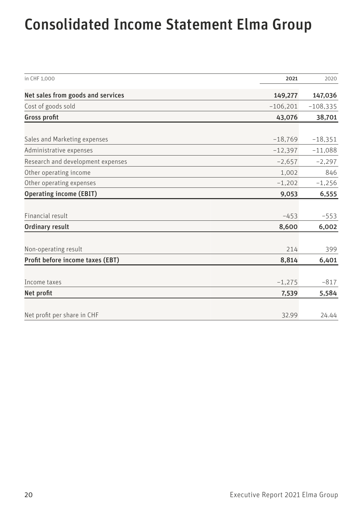# <span id="page-23-0"></span>Consolidated Income Statement Elma Group

| in CHF 1.000                      | 2021       | 2020       |
|-----------------------------------|------------|------------|
| Net sales from goods and services | 149,277    | 147,036    |
| Cost of goods sold                | $-106,201$ | $-108,335$ |
| Gross profit                      | 43,076     | 38,701     |
|                                   |            |            |
| Sales and Marketing expenses      | $-18,769$  | $-18,351$  |
| Administrative expenses           | $-12,397$  | $-11,088$  |
| Research and development expenses | $-2,657$   | $-2,297$   |
| Other operating income            | 1,002      | 846        |
| Other operating expenses          | $-1,202$   | $-1,256$   |
| <b>Operating income (EBIT)</b>    | 9,053      | 6,555      |
|                                   |            |            |
| Financial result                  | $-453$     | $-553$     |
| Ordinary result                   | 8,600      | 6,002      |
| Non-operating result              | 214        | 399        |
| Profit before income taxes (EBT)  | 8,814      | 6,401      |
|                                   |            |            |
| Income taxes                      | $-1,275$   | $-817$     |
| Net profit                        | 7,539      | 5,584      |
|                                   |            |            |
| Net profit per share in CHF       | 32.99      | 24.44      |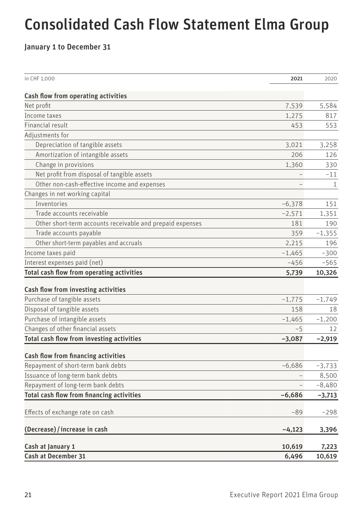# <span id="page-24-0"></span>Consolidated Cash Flow Statement Elma Group

January 1 to December 31

| in CHF 1,000                                              | 2021     | 2020         |
|-----------------------------------------------------------|----------|--------------|
| Cash flow from operating activities                       |          |              |
| Net profit                                                | 7,539    | 5,584        |
| Income taxes                                              | 1,275    | 817          |
| Financial result                                          | 453      | 553          |
| Adjustments for                                           |          |              |
| Depreciation of tangible assets                           | 3,021    | 3,258        |
| Amortization of intangible assets                         | 206      | 126          |
| Change in provisions                                      | 1,360    | 330          |
| Net profit from disposal of tangible assets               |          | $-11$        |
| Other non-cash-effective income and expenses              |          | $\mathbf{1}$ |
| Changes in net working capital                            |          |              |
| Inventories                                               | $-6,378$ | 151          |
| Trade accounts receivable                                 | $-2,571$ | 1,351        |
| Other short-term accounts receivable and prepaid expenses | 181      | 190          |
| Trade accounts payable                                    | 359      | $-1,355$     |
| Other short-term payables and accruals                    | 2,215    | 196          |
| Income taxes paid                                         | $-1,465$ | $-300$       |
| Interest expenses paid (net)                              | $-456$   | $-565$       |
| Total cash flow from operating activities                 | 5,739    | 10,326       |
| Cash flow from investing activities                       |          |              |
| Purchase of tangible assets                               | $-1,775$ | $-1,749$     |
| Disposal of tangible assets                               | 158      | 18           |
| Purchase of intangible assets                             | $-1,465$ | $-1,200$     |
| Changes of other financial assets                         | $-5$     | 12           |
| Total cash flow from investing activities                 | $-3,087$ | $-2,919$     |
|                                                           |          |              |
| Cash flow from financing activities                       |          |              |
| Repayment of short-term bank debts                        | $-6,686$ | $-3,733$     |
| Issuance of long-term bank debts                          |          | 8,500        |
| Repayment of long-term bank debts                         |          | $-8,480$     |
| Total cash flow from financing activities                 | $-6,686$ | -3,713       |
| Effects of exchange rate on cash                          | -89      | $-298$       |
| (Decrease) / increase in cash                             | $-4,123$ | 3,396        |
| Cash at January 1                                         | 10,619   | 7,223        |
| Cash at December 31                                       | 6,496    | 10,619       |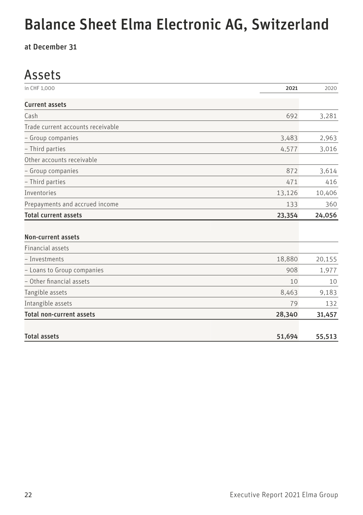# <span id="page-25-0"></span>Balance Sheet Elma Electronic AG, Switzerland

at December 31

# Assets

| in CHF 1,000                      | 2021   | 2020   |
|-----------------------------------|--------|--------|
| <b>Current assets</b>             |        |        |
| Cash                              | 692    | 3,281  |
| Trade current accounts receivable |        |        |
| - Group companies                 | 3,483  | 2,963  |
| - Third parties                   | 4,577  | 3,016  |
| Other accounts receivable         |        |        |
| - Group companies                 | 872    | 3,614  |
| - Third parties                   | 471    | 416    |
| <b>Inventories</b>                | 13,126 | 10,406 |
| Prepayments and accrued income    | 133    | 360    |
| <b>Total current assets</b>       | 23,354 | 24,056 |
|                                   |        |        |
| <b>Non-current assets</b>         |        |        |
| <b>Financial assets</b>           |        |        |
| - Investments                     | 18,880 | 20,155 |
| - Loans to Group companies        | 908    | 1,977  |
| - Other financial assets          | 10     | 10     |
| Tangible assets                   | 8,463  | 9,183  |
| Intangible assets                 | 79     | 132    |
| <b>Total non-current assets</b>   | 28,340 | 31,457 |
|                                   |        |        |
| <b>Total assets</b>               | 51,694 | 55,513 |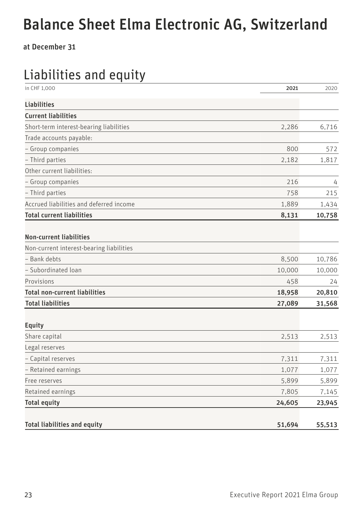# Balance Sheet Elma Electronic AG, Switzerland

at December 31

# Liabilities and equity

| in CHF 1,000                             | 2021   | 2020   |
|------------------------------------------|--------|--------|
| <b>Liabilities</b>                       |        |        |
| <b>Current liabilities</b>               |        |        |
| Short-term interest-bearing liabilities  | 2,286  | 6,716  |
| Trade accounts payable:                  |        |        |
| - Group companies                        | 800    | 572    |
| - Third parties                          | 2,182  | 1,817  |
| Other current liabilities:               |        |        |
| - Group companies                        | 216    | 4      |
| - Third parties                          | 758    | 215    |
| Accrued liabilities and deferred income  | 1,889  | 1,434  |
| <b>Total current liabilities</b>         | 8,131  | 10,758 |
| <b>Non-current liabilities</b>           |        |        |
| Non-current interest-bearing liabilities |        |        |
| - Bank debts                             | 8,500  | 10,786 |
| - Subordinated loan                      | 10,000 | 10,000 |
| Provisions                               | 458    | 24     |
| <b>Total non-current liabilities</b>     | 18,958 | 20,810 |
| <b>Total liabilities</b>                 | 27,089 | 31,568 |
| <b>Equity</b>                            |        |        |
| Share capital                            | 2,513  | 2,513  |
| Legal reserves                           |        |        |
| - Capital reserves                       | 7,311  | 7,311  |
| - Retained earnings                      | 1,077  | 1,077  |
| Free reserves                            | 5,899  | 5,899  |
| Retained earnings                        | 7,805  | 7,145  |
| <b>Total equity</b>                      | 24,605 | 23,945 |
| <b>Total liabilities and equity</b>      | 51,694 | 55,513 |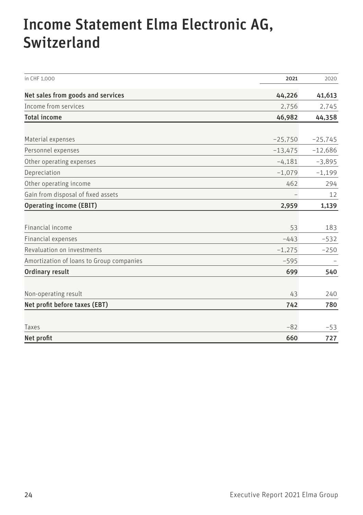# <span id="page-27-0"></span>Income Statement Elma Electronic AG, Switzerland

| in CHF 1.000                             | 2021      | 2020      |
|------------------------------------------|-----------|-----------|
| Net sales from goods and services        | 44,226    | 41,613    |
| Income from services                     | 2,756     | 2,745     |
| <b>Total income</b>                      | 46,982    | 44,358    |
| Material expenses                        | $-25,750$ | $-25,745$ |
| Personnel expenses                       | $-13,475$ | $-12,686$ |
| Other operating expenses                 | $-4,181$  | $-3,895$  |
| Depreciation                             | $-1,079$  | $-1,199$  |
| Other operating income                   | 462       | 294       |
| Gain from disposal of fixed assets       |           | 12        |
| <b>Operating income (EBIT)</b>           | 2,959     | 1,139     |
|                                          |           |           |
| Financial income                         | 53        | 183       |
| Financial expenses                       | $-443$    | $-532$    |
| Revaluation on investments               | $-1,275$  | $-250$    |
| Amortization of loans to Group companies | $-595$    |           |
| <b>Ordinary result</b>                   | 699       | 540       |
| Non-operating result                     | 43        | 240       |
| Net profit before taxes (EBT)            | 742       | 780       |
| Taxes                                    | $-82$     | $-53$     |
| Net profit                               | 660       | 727       |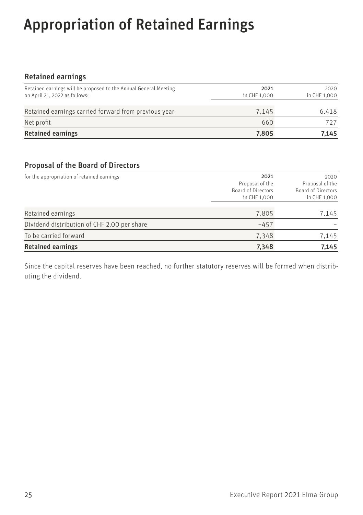# <span id="page-28-0"></span>Appropriation of Retained Earnings

# Retained earnings

| Retained earnings will be proposed to the Annual General Meeting<br>on April 21, 2022 as follows: | 2021<br>in CHF 1.000 | 2020<br>in CHF 1,000 |
|---------------------------------------------------------------------------------------------------|----------------------|----------------------|
| Retained earnings carried forward from previous year                                              | 7.145                | 6.418                |
| Net profit                                                                                        | 660                  | 727                  |
| <b>Retained earnings</b>                                                                          | 7,805                | 7.145                |

# Proposal of the Board of Directors

| for the appropriation of retained earnings  | 2021<br>Proposal of the<br>Board of Directors<br>in CHF 1,000 | 2020<br>Proposal of the<br>Board of Directors<br>in CHF 1,000 |
|---------------------------------------------|---------------------------------------------------------------|---------------------------------------------------------------|
| Retained earnings                           | 7,805                                                         | 7,145                                                         |
| Dividend distribution of CHF 2.00 per share | $-457$                                                        |                                                               |
| To be carried forward                       | 7,348                                                         | 7,145                                                         |
| <b>Retained earnings</b>                    | 7,348                                                         | 7,145                                                         |

Since the capital reserves have been reached, no further statutory reserves will be formed when distributing the dividend.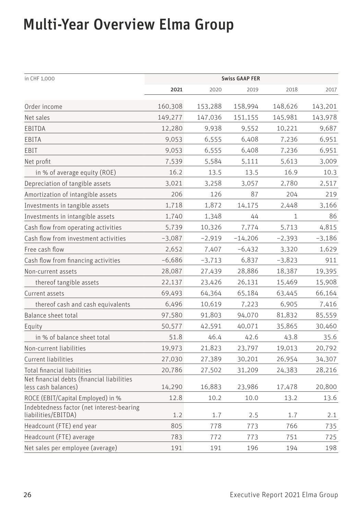# <span id="page-29-0"></span>Multi-Year Overview Elma Group

| in CHF 1,000                                                      | <b>Swiss GAAP FER</b> |          |           |          |          |
|-------------------------------------------------------------------|-----------------------|----------|-----------|----------|----------|
|                                                                   | 2021                  | 2020     | 2019      | 2018     | 2017     |
| Order income                                                      | 160,308               | 153,288  | 158,994   | 148,626  | 143,201  |
| Net sales                                                         | 149,277               | 147,036  | 151,155   | 145,981  | 143,978  |
| EBITDA                                                            | 12,280                | 9,938    | 9,552     | 10,221   | 9,687    |
| EBITA                                                             | 9,053                 | 6,555    | 6,408     | 7,236    | 6,951    |
| EBIT                                                              | 9,053                 | 6,555    | 6,408     | 7,236    | 6,951    |
| Net profit                                                        | 7,539                 | 5,584    | 5,111     | 5,613    | 3,009    |
| in % of average equity (ROE)                                      | 16.2                  | 13.5     | 13.5      | 16.9     | 10.3     |
| Depreciation of tangible assets                                   | 3,021                 | 3,258    | 3,057     | 2,780    | 2,517    |
| Amortization of intangible assets                                 | 206                   | 126      | 87        | 204      | 219      |
| Investments in tangible assets                                    | 1,718                 | 1,872    | 14,175    | 2,448    | 3,166    |
| Investments in intangible assets                                  | 1,740                 | 1,348    | 44        | 1        | 86       |
| Cash flow from operating activities                               | 5,739                 | 10,326   | 7,774     | 5,713    | 4,815    |
| Cash flow from investment activities                              | $-3,087$              | $-2,919$ | $-14,206$ | $-2,393$ | $-3,186$ |
| Free cash flow                                                    | 2,652                 | 7,407    | $-6,432$  | 3,320    | 1,629    |
| Cash flow from financing activities                               | $-6,686$              | $-3,713$ | 6,837     | $-3,823$ | 911      |
| Non-current assets                                                | 28,087                | 27,439   | 28,886    | 18,387   | 19,395   |
| thereof tangible assets                                           | 22,137                | 23,426   | 26,131    | 15,469   | 15,908   |
| Current assets                                                    | 69,493                | 64,364   | 65,184    | 63,445   | 66,164   |
| thereof cash and cash equivalents                                 | 6,496                 | 10,619   | 7,223     | 6,905    | 7,416    |
| Balance sheet total                                               | 97,580                | 91,803   | 94,070    | 81,832   | 85,559   |
| Equity                                                            | 50,577                | 42,591   | 40,071    | 35,865   | 30,460   |
| in % of balance sheet total                                       | 51.8                  | 46.4     | 42.6      | 43.8     | 35.6     |
| Non-current liabilities                                           | 19,973                | 21,823   | 23,797    | 19,013   | 20,792   |
| Current liabilities                                               | 27,030                | 27,389   | 30,201    | 26,954   | 34,307   |
| Total financial liabilities                                       | 20,786                | 27,502   | 31,209    | 24,383   | 28,216   |
| Net financial debts (financial liabilities<br>less cash balances) | 14,290                | 16,883   | 23,986    | 17,478   | 20,800   |
| ROCE (EBIT/Capital Employed) in %                                 | 12.8                  | 10.2     | 10.0      | 13.2     | 13.6     |
| Indebtedness factor (net interest-bearing<br>liabilities/EBITDA)  | 1.2                   | 1.7      | 2.5       | 1.7      | 2.1      |
| Headcount (FTE) end year                                          | 805                   | 778      | 773       | 766      | 735      |
| Headcount (FTE) average                                           | 783                   | 772      | 773       | 751      | 725      |
| Net sales per employee (average)                                  | 191                   | 191      | 196       | 194      | 198      |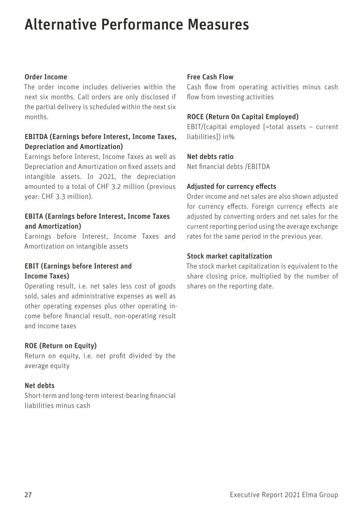# <span id="page-30-0"></span>Alternative Performance Measures

## Order Income

The order income includes deliveries within the next six months. Call orders are only disclosed if the partial delivery is scheduled within the next six months.

# EBITDA (Earnings before Interest, Income Taxes, Depreciation and Amortization)

Earnings before Interest, Income Taxes as well as Depreciation and Amortization on fixed assets and intangible assets. In 2021, the depreciation amounted to a total of CHF 3.2 million (previous year: CHF 3.3 million).

# EBITA (Earnings before Interest, Income Taxes and Amortization)

Earnings before Interest, Income Taxes and Amortization on intangible assets

# EBIT (Earnings before Interest and Income Taxes)

Operating result, i.e. net sales less cost of goods sold, sales and administrative expenses as well as other operating expenses plus other operating income before financial result, non-operating result and income taxes

## ROE (Return on Equity)

Return on equity, i.e. net profit divided by the average equity

## Net debts

Short-term and long-term interest-bearing financial liabilities minus cash

## Free Cash Flow

Cash flow from operating activities minus cash flow from investing activities

### ROCE (Return On Capital Employed)

EBIT/(capital employed [=total assets – current liabilities]) in%

### Net debts ratio

Net financial debts /EBITDA

## Adjusted for currency effects

Order income and net sales are also shown adjusted for currency effects. Foreign currency effects are adjusted by converting orders and net sales for the current reporting period using the average exchange rates for the same period in the previous year.

### Stock market capitalization

The stock market capitalization is equivalent to the share closing price, multiplied by the number of shares on the reporting date.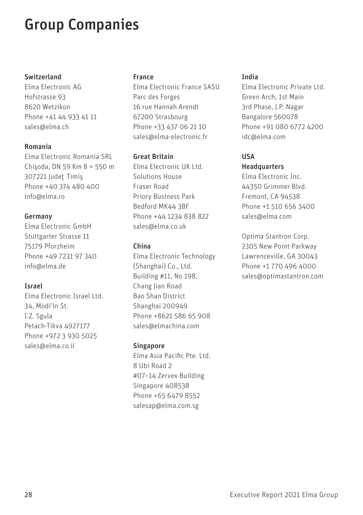# <span id="page-31-0"></span>Group Companies

### Switzerland

Elma Electronic AG Hofstrasse 93 8620 Wetzikon Phone +41 44 933 41 11 sales@elma.ch

### Romania

Elma Electronic Romania SRL Chis¸oda, DN 59 Km 8 + 550 m 307221 Judet¸ Timis¸ Phone +40 374 480 400 info@elma.ro

### Germany

Elma Electronic GmbH Stuttgarter Strasse 11 75179 Pforzheim Phone +49 7231 97 340 info@elma.de

## Israel

Elma Electronic Israel Ltd. 34, Modi'in St. I.Z. Sgula Petach-Tikva 4927177 Phone +972 3 930 5025 sales@elma.co.il

### France

Elma Electronic France SASU Parc des Forges 16 rue Hannah Arendt 67200 Strasbourg Phone +33 437 06 21 10 sales@elma-electronic.fr

### Great Britain

Elma Electronic UK Ltd. Solutions House Fraser Road Priory Business Park Bedford MK44 3BF Phone +44 1234 838 822 sales@elma.co.uk

### China

Elma Electronic Technology (Shanghai) Co., Ltd. Building #11, No 198, Chang Jian Road Bao Shan District Shanghai 200949 Phone +8621 586 65 908 sales@elmachina.com

## Singapore

Elma Asia Pacific Pte. Ltd. 8 Ubi Road 2 #07–14 Zervex Building Singapore 408538 Phone +65 6479 8552 salesap@elma.com.sg

### India

Elma Electronic Private Ltd. Green Arch, 1st Main 3rd Phase, J.P. Nagar Bangalore 560078 Phone +91 080 6772 4200 idc@elma.com

# USA

# Headquarters

Elma Electronic Inc. 44350 Grimmer Blvd. Fremont, CA 94538 Phone +1 510 656 3400 sales@elma.com

Optima Stantron Corp. 2305 New Point Parkway Lawrenceville, GA 30043 Phone +1 770 496 4000 sales@optimastantron.com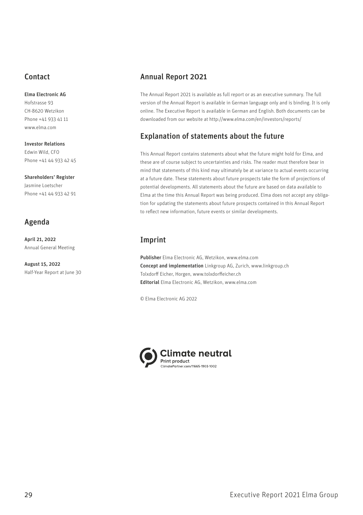# <span id="page-32-0"></span>Contact

#### Elma Electronic AG

Hofstrasse 93 CH-8620 Wetzikon Phone +41 933 41 11 [www.elma.com](http://www.elma.com)

Investor Relations Edwin Wild, CFO Phone +41 44 933 42 45

#### Shareholders' Register

Jasmine Loetscher Phone +41 44 933 42 91

# Agenda

April 21, 2022 Annual General Meeting

August 15, 2022 Half-Year Report at June 30

# Annual Report 2021

The Annual Report 2021 is available as full report or as an executive summary. The full version of the Annual Report is available in German language only and is binding. It is only online. The Executive Report is available in German and English. Both documents can be downloaded from our website at<http://www.elma.com/en/investors/reports/>

# Explanation of statements about the future

This Annual Report contains statements about what the future might hold for Elma, and these are of course subject to uncertainties and risks. The reader must therefore bear in mind that statements of this kind may ultimately be at variance to actual events occurring at a future date. These statements about future prospects take the form of projections of potential developments. All statements about the future are based on data available to Elma at the time this Annual Report was being produced. Elma does not accept any obligation for updating the statements about future prospects contained in this Annual Report to reflect new information, future events or similar developments.

# Imprint

Publisher Elma Electronic AG, Wetzikon, [www.elma.com](http://www.elma.com) Concept and implementation Linkgroup AG, Zurich, [www.linkgroup.ch](http://www.linkgroup.ch) Tolxdorff Eicher, Horgen, [www.tolxdorffeicher.ch](http://www.tolxdorffeicher.ch) Editorial Elma Electronic AG, Wetzikon, [www.elma.com](http://www.elma.com)

© Elma Electronic AG 2022